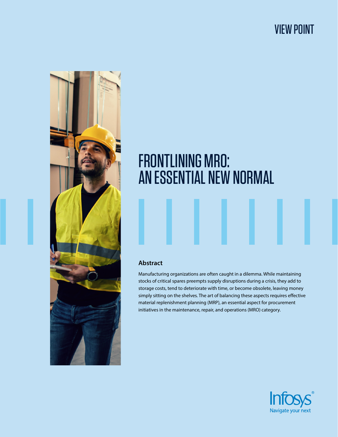# VIEW POINT



# FRONTLINING MRO: AN ESSENTIAL NEW NORMAL

#### **Abstract**

Manufacturing organizations are often caught in a dilemma. While maintaining stocks of critical spares preempts supply disruptions during a crisis, they add to storage costs, tend to deteriorate with time, or become obsolete, leaving money simply sitting on the shelves. The art of balancing these aspects requires effective material replenishment planning (MRP), an essential aspect for procurement initiatives in the maintenance, repair, and operations (MRO) category.

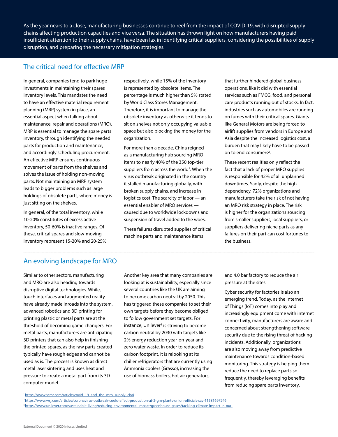As the year nears to a close, manufacturing businesses continue to reel from the impact of COVID-19, with disrupted supply chains affecting production capacities and vice versa. The situation has thrown light on how manufacturers having paid insufficient attention to their supply chains, have been lax in identifying critical suppliers, considering the possibilities of supply disruption, and preparing the necessary mitigation strategies.

#### The critical need for effective MRP

In general, companies tend to park huge investments in maintaining their spares inventory levels. This mandates the need to have an effective material requirement planning (MRP) system in place, an essential aspect when talking about maintenance, repair and operations (MRO). MRP is essential to manage the spare parts inventory, through identifying the needed parts for production and maintenance, and accordingly scheduling procurement. An effective MRP ensures continuous movement of parts from the shelves and solves the issue of holding non-moving parts. Not maintaining an MRP system leads to bigger problems such as large holdings of obsolete parts, where money is just sitting on the shelves.

In general, of the total inventory, while 10-20% constitutes of excess active inventory, 50-60% is inactive ranges. Of these, critical spares and slow-moving inventory represent 15-20% and 20-25% respectively, while 15% of the inventory is represented by obsolete items. The percentage is much higher than 5% stated by World Class Stores Management. Therefore, it is important to manage the obsolete inventory as otherwise it tends to sit on shelves not only occupying valuable space but also blocking the money for the organization.

For more than a decade, China reigned as a manufacturing hub sourcing MRO items to nearly 40% of the 350 top-tier suppliers from across the world<sup>1</sup>. When the virus outbreak originated in the country it stalled manufacturing globally, with broken supply chains, and increase in logistics cost. The scarcity of labor — an essential enabler of MRO services caused due to worldwide lockdowns and suspension of travel added to the woes.

These failures disrupted supplies of critical machine parts and maintenance items

that further hindered global business operations, like it did with essential services such as FMCG, food, and personal care products running out of stocks. In fact, industries such as automobiles are running on fumes with their critical spares. Giants like General Motors are being forced to airlift supplies from vendors in Europe and Asia despite the increased logistics cost, a burden that may likely have to be passed on to end consumers<sup>2</sup>.

These recent realities only reflect the fact that a lack of proper MRO supplies is responsible for 42% of all unplanned downtimes. Sadly, despite the high dependency, 72% organizations and manufacturers take the risk of not having an MRO risk strategy in place. The risk is higher for the organizations sourcing from smaller suppliers, local suppliers, or suppliers delivering niche parts as any failures on their part can cost fortunes to the business.

#### An evolving landscape for MRO

Similar to other sectors, manufacturing and MRO are also heading towards disruptive digital technologies. While, touch interfaces and augmented reality have already made inroads into the system, advanced robotics and 3D printing for printing plastic or metal parts are at the threshold of becoming game changers. For metal parts, manufacturers are anticipating 3D printers that can also help in finishing the printed spares, as the raw parts created typically have rough edges and cannot be used as is. The process is known as direct metal laser sintering and uses heat and pressure to create a metal part from its 3D computer model.

Another key area that many companies are looking at is sustainability, especially since several countries like the UK are aiming to become carbon neutral by 2050. This has triggered these companies to set their own targets before they become obliged to follow government set targets. For instance, Unilever<sup>3</sup> is striving to become carbon neutral by 2030 with targets like 2% energy reduction year-on-year and zero water waste. In order to reduce its carbon footprint, it is relooking at its chiller refrigerators that are currently using Ammonia coolers (Grasso), increasing the use of biomass boilers, hot air generators,

and 4.0 bar factory to reduce the air pressure at the sites.

Cyber security for factories is also an emerging trend. Today, as the Internet of Things (IoT) comes into play and increasingly equipment come with internet connectivity, manufacturers are aware and concerned about strengthening software security due to the rising threat of hacking incidents. Additionally, organizations are also moving away from predictive maintenance towards condition-based monitoring. This strategy is helping them reduce the need to replace parts so frequently, thereby leveraging benefits from reducing spare parts inventory.

2 [https://www.wsj.com/articles/coronavirus-outbreak-could-affect-production-at-2-gm-plants-union-officials-say-11581697246](https://www.wsj.com/articles/coronavirus-outbreak-could-affect-production-at-2-gm-plants-union-officials-say-11581697246 )  3<https://www.unilever.com/sustainable-living/reducing-environmental-impact/greenhouse-gases/tackling-climate-impact-in-our->

<sup>&</sup>lt;sup>1</sup>https://www.scmr.com/article/covid\_19\_and\_the\_mro\_supply\_chai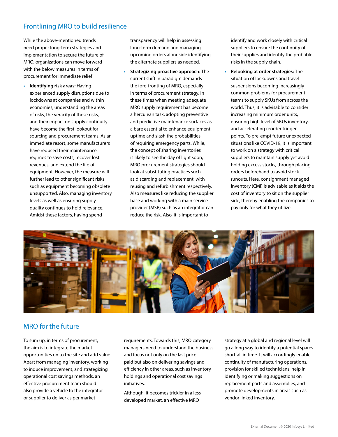## Frontlining MRO to build resilience

While the above-mentioned trends need proper long-term strategies and implementation to secure the future of MRO, organizations can move forward with the below measures in terms of procurement for immediate relief:

**• Identifying risk areas:** Having experienced supply disruptions due to lockdowns at companies and within economies, understanding the areas of risks, the veracity of these risks, and their impact on supply continuity have become the first lookout for sourcing and procurement teams. As an immediate resort, some manufacturers have reduced their maintenance regimes to save costs, recover lost revenues, and extend the life of equipment. However, the measure will further lead to other significant risks such as equipment becoming obsolete unsupported. Also, managing inventory levels as well as ensuring supply quality continues to hold relevance. Amidst these factors, having spend

transparency will help in assessing long-term demand and managing upcoming orders alongside identifying the alternate suppliers as needed.

**• Strategizing proactive approach:** The current shift in paradigm demands the fore-fronting of MRO, especially in terms of procurement strategy. In these times when meeting adequate MRO supply requirement has become a herculean task, adopting preventive and predictive maintenance surfaces as a bare essential to enhance equipment uptime and slash the probabilities of requiring emergency parts. While, the concept of sharing inventories is likely to see the day of light soon, MRO procurement strategies should look at substituting practices such as discarding and replacement, with reusing and refurbishment respectively. Also measures like reducing the supplier base and working with a main service provider (MSP) such as an integrator can reduce the risk. Also, it is important to

identify and work closely with critical suppliers to ensure the continuity of their supplies and identify the probable risks in the supply chain.

**• Relooking at order strategies:** The situation of lockdowns and travel suspensions becoming increasingly common problems for procurement teams to supply SKUs from across the world. Thus, it is advisable to consider increasing minimum order units, ensuring high level of SKUs inventory, and accelerating reorder trigger points. To pre-empt future unexpected situations like COVID-19, it is important to work on a strategy with critical suppliers to maintain supply yet avoid holding excess stocks, through placing orders beforehand to avoid stock runouts. Here, consignment managed inventory (CMI) is advisable as it aids the cost of inventory to sit on the supplier side, thereby enabling the companies to pay only for what they utilize.



### MRO for the future

To sum up, in terms of procurement, the aim is to integrate the market opportunities on to the site and add value. Apart from managing inventory, working to induce improvement, and strategizing operational cost savings methods, an effective procurement team should also provide a vehicle to the integrator or supplier to deliver as per market

requirements. Towards this, MRO category managers need to understand the business and focus not only on the last price paid but also on delivering savings and efficiency in other areas, such as inventory holdings and operational cost savings initiatives.

Although, it becomes trickier in a less developed market, an effective MRO

strategy at a global and regional level will go a long way to identify a potential spares shortfall in time. It will accordingly enable continuity of manufacturing operations, provision for skilled technicians, help in identifying or making suggestions on replacement parts and assemblies, and promote developments in areas such as vendor linked inventory.